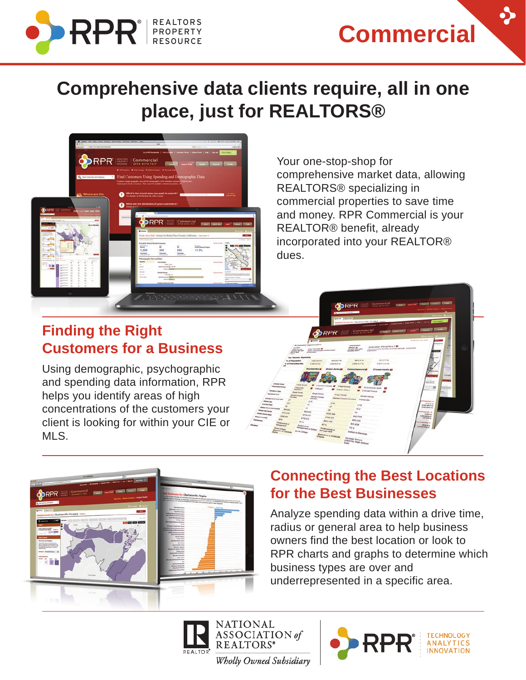

**Commercial** 

### **Comprehensive data clients require, all in one place, just for REALTORS®**



Your one-stop-shop for comprehensive market data, allowing REALTORS® specializing in commercial properties to save time and money. RPR Commercial is your REALTOR® benefit, already incorporated into your REALTOR® dues.

#### **Finding the Right Customers for a Business**

Using demographic, psychographic and spending data information, RPR helps you identify areas of high concentrations of the customers your client is looking for within your CIE or MLS.





#### **Connecting the Best Locations for the Best Businesses**

Analyze spending data within a drive time, radius or general area to help business owners find the best location or look to RPR charts and graphs to determine which business types are over and underrepresented in a specific area.